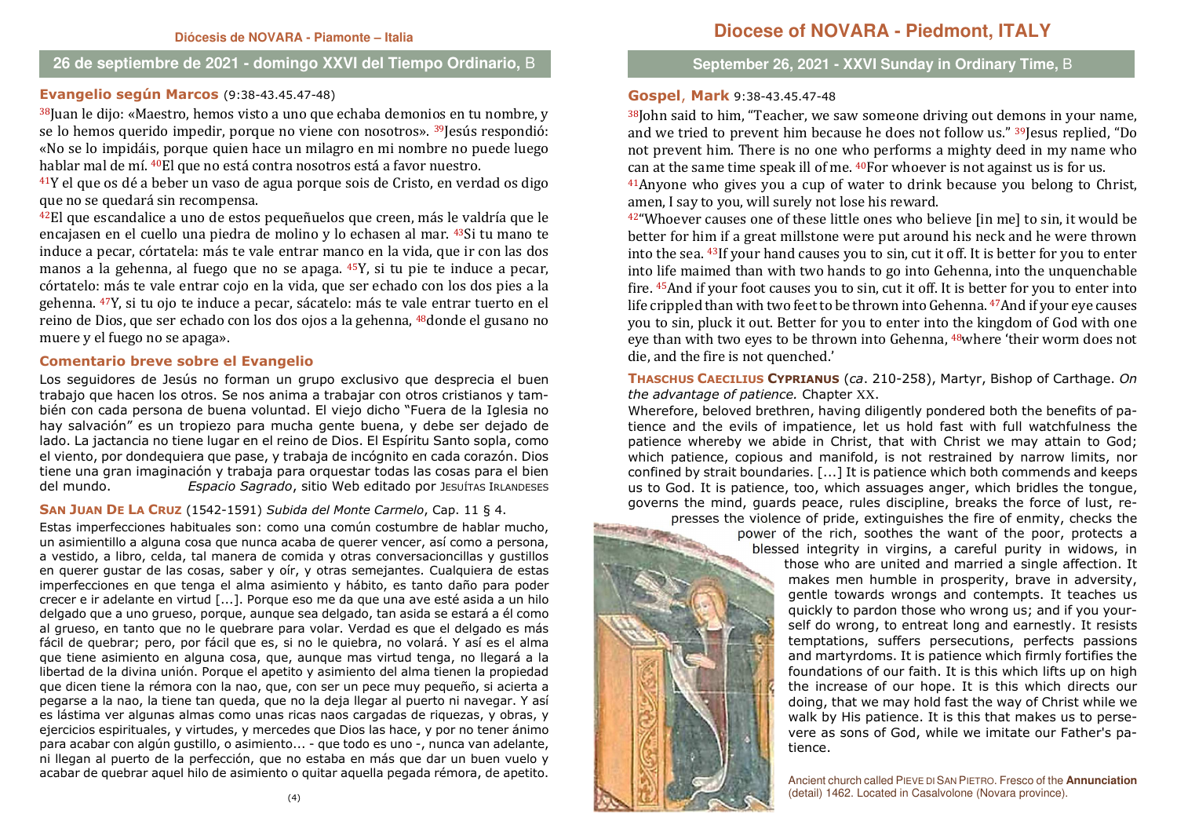### **26 de septiembre de 2021 - domingo XXVI del Tiempo Ordinario,** B

## **Evangelio según Marcos** (9:38-43.45.47-48)

38Juan le dijo: «Maestro, hemos visto a uno que echaba demonios en tu nombre, y se lo hemos querido impedir, porque no viene con nosotros». <sup>39</sup>Jesús respondió: «No se lo impidáis, porque quien hace un milagro en mi nombre no puede luego hablar mal de mí. 40El que no está contra nosotros está a favor nuestro.

<sup>41</sup>Y el que os dé a beber un vaso de agua porque sois de Cristo, en verdad os digo que no se quedará sin recompensa.

 $42$ El que escandalice a uno de estos pequeñuelos que creen, más le valdría que le encajasen en el cuello una piedra de molino y lo echasen al mar. 43Si tu mano te induce a pecar, córtatela: más te vale entrar manco en la vida, que ir con las dos manos a la gehenna, al fuego que no se apaga. <sup>45</sup>Y, si tu pie te induce a pecar, córtatelo: más te vale entrar cojo en la vida, que ser echado con los dos pies a la gehenna. <sup>47</sup>Y, si tu ojo te induce a pecar, sácatelo: más te vale entrar tuerto en el reino de Dios, que ser echado con los dos ojos a la gehenna, <sup>48</sup>donde el gusano no muere y el fuego no se apaga».

#### **Comentario breve sobre el Evangelio**

 Los seguidores de Jesús no forman un grupo exclusivo que desprecia el buen trabajo que hacen los otros. Se nos anima a trabajar con otros cristianos y también con cada persona de buena voluntad. El viejo dicho "Fuera de la Iglesia no hay salvación" es un tropiezo para mucha gente buena, y debe ser dejado de lado. La jactancia no tiene lugar en el reino de Dios. El Espíritu Santo sopla, como el viento, por dondequiera que pase, y trabaja de incógnito en cada corazón. Dios tiene una gran imaginación y trabaja para orquestar todas las cosas para el bien del mundo. *Espacio Sagrado*, sitio Web editado por JESUÍTAS IRLANDESES

#### **SAN JUAN DE LA CRUZ** (1542-1591) *Subida del Monte Carmelo*, Cap. 11 § 4.

Estas imperfecciones habituales son: como una común costumbre de hablar mucho, un asimientillo a alguna cosa que nunca acaba de querer vencer, así como a persona, a vestido, a libro, celda, tal manera de comida y otras conversacioncillas y gustillos en querer gustar de las cosas, saber y oír, y otras semejantes. Cualquiera de estas imperfecciones en que tenga el alma asimiento y hábito, es tanto daño para poder crecer e ir adelante en virtud [...]. Porque eso me da que una ave esté asida a un hilo delgado que a uno grueso, porque, aunque sea delgado, tan asida se estará a él como al grueso, en tanto que no le quebrare para volar. Verdad es que el delgado es más fácil de quebrar; pero, por fácil que es, si no le quiebra, no volará. Y así es el alma que tiene asimiento en alguna cosa, que, aunque mas virtud tenga, no llegará a la libertad de la divina unión. Porque el apetito y asimiento del alma tienen la propiedad que dicen tiene la rémora con la nao, que, con ser un pece muy pequeño, si acierta a pegarse a la nao, la tiene tan queda, que no la deja llegar al puerto ni navegar. Y así es lástima ver algunas almas como unas ricas naos cargadas de riquezas, y obras, y ejercicios espirituales, y virtudes, y mercedes que Dios las hace, y por no tener ánimo para acabar con algún gustillo, o asimiento... - que todo es uno -, nunca van adelante, ni llegan al puerto de la perfección, que no estaba en más que dar un buen vuelo y acabar de quebrar aquel hilo de asimiento o quitar aquella pegada rémora, de apetito.

### **September 26, 2021 - XXVI Sunday in Ordinary Time,** B

# **Gospel**, **Mark** 9:38-43.45.47-48

38John said to him, "Teacher, we saw someone driving out demons in your name, and we tried to prevent him because he does not follow us." <sup>39</sup>Jesus replied, "Do not prevent him. There is no one who performs a mighty deed in my name who can at the same time speak ill of me. 40For whoever is not against us is for us. <sup>41</sup>Anyone who gives you a cup of water to drink because you belong to Christ, amen, I say to you, will surely not lose his reward.

<sup>42</sup>"Whoever causes one of these little ones who believe [in me] to sin, it would be better for him if a great millstone were put around his neck and he were thrown into the sea. 43If your hand causes you to sin, cut it off. It is better for you to enter into life maimed than with two hands to go into Gehenna, into the unquenchable fire. <sup>45</sup>And if your foot causes you to sin, cut it off. It is better for you to enter into life crippled than with two feet to be thrown into Gehenna. <sup>47</sup>And if your eye causes you to sin, pluck it out. Better for you to enter into the kingdom of God with one eye than with two eyes to be thrown into Gehenna, <sup>48</sup>where 'their worm does not die, and the fire is not quenched.'

#### **THASCHUS CAECILIUS CYPRIANUS** (*ca*. 210-258), Martyr, Bishop of Carthage. *On the advantage of patience.* Chapter XX.

 Wherefore, beloved brethren, having diligently pondered both the benefits of patience and the evils of impatience, let us hold fast with full watchfulness the patience whereby we abide in Christ, that with Christ we may attain to God; which patience, copious and manifold, is not restrained by narrow limits, nor confined by strait boundaries. [...] It is patience which both commends and keeps us to God. It is patience, too, which assuages anger, which bridles the tongue, governs the mind, guards peace, rules discipline, breaks the force of lust, re-

presses the violence of pride, extinguishes the fire of enmity, checks the<br>power of the rich, soothes the want of the poor, protects a power of the rich, soothes the want of the poor, protects a blessed integrity in virgins, a careful purity in widows, in those who are united and married a single affection. It makes men humble in prosperity, brave in adversity, gentle towards wrongs and contempts. It teaches us quickly to pardon those who wrong us; and if you yourself do wrong, to entreat long and earnestly. It resists temptations, suffers persecutions, perfects passions and martyrdoms. It is patience which firmly fortifies the foundations of our faith. It is this which lifts up on high the increase of our hope. It is this which directs our doing, that we may hold fast the way of Christ while we walk by His patience. It is this that makes us to persevere as sons of God, while we imitate our Father's patience.

> Ancient church called PIEVE DI SAN PIETRO. Fresco of the **Annunciation**(detail) 1462. Located in Casalvolone (Novara province).